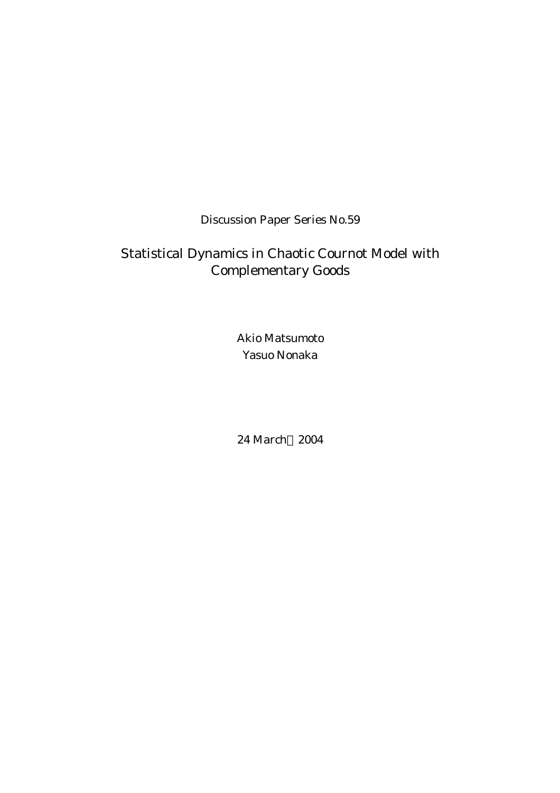Discussion Paper Series No.59

# Statistical Dynamics in Chaotic Cournot Model with Complementary Goods

Akio Matsumoto Yasuo Nonaka

24 March 2004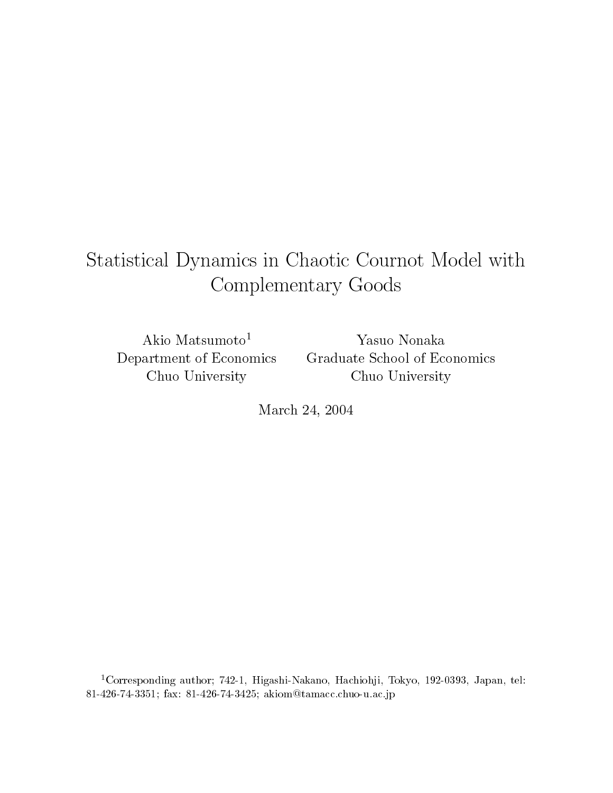# Statistical Dynamics in Chaotic Cournot Model with Complementary Goods

Akio Matsumoto<sup>1</sup> Department of Economics Chuo University

Yasuo Nonaka Graduate School of Economics Chuo University

March 24, 2004

<sup>1</sup>Corresponding author; 742-1, Higashi-Nakano, Hachiohji, Tokyo, 192-0393, Japan, tel: 81-426-74-3351; fax: 81-426-74-3425; akiom@tamacc.chuo-u.ac.jp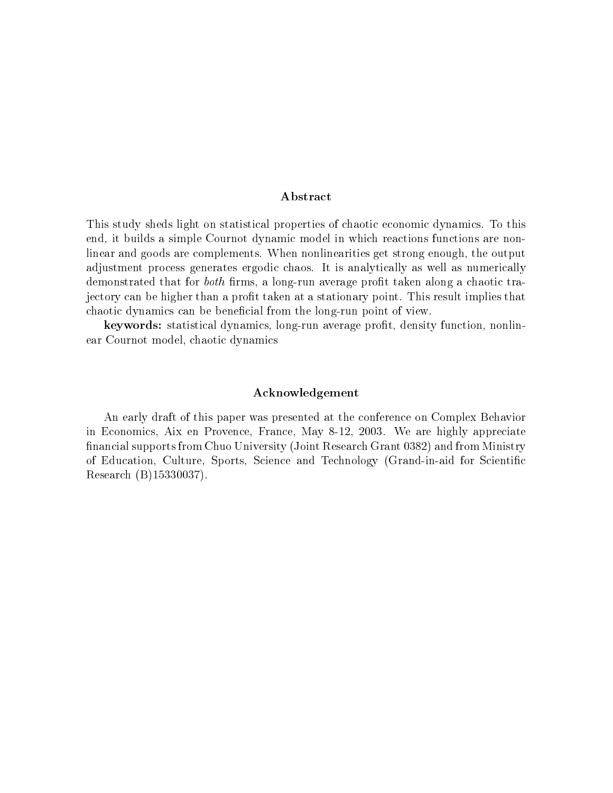# ${\bf Abstract}$

This study sheds light on statistical properties of chaotic economic dynamics. To this end, it builds a simple Cournot dynamic model in which reactions functions are nonlinear and goods are complements. When nonlinearities get strong enough, the output adjustment process generates ergodic chaos. It is analytically as well as numerically demonstrated that for *both* firms, a long-run average profit taken along a chaotic trajectory can be higher than a profit taken at a stationary point. This result implies that chaotic dynamics can be beneficial from the long-run point of view.

keywords: statistical dynamics, long-run average profit, density function, nonlinear Cournot model, chaotic dynamics

# Acknowledgement

An early draft of this paper was presented at the conference on Complex Behavior in Economics, Aix en Provence, France, May 8-12, 2003. We are highly appreciate financial supports from Chuo University (Joint Research Grant 0382) and from Ministry of Education, Culture, Sports, Science and Technology (Grand-in-aid for Scientific Research (B)15330037).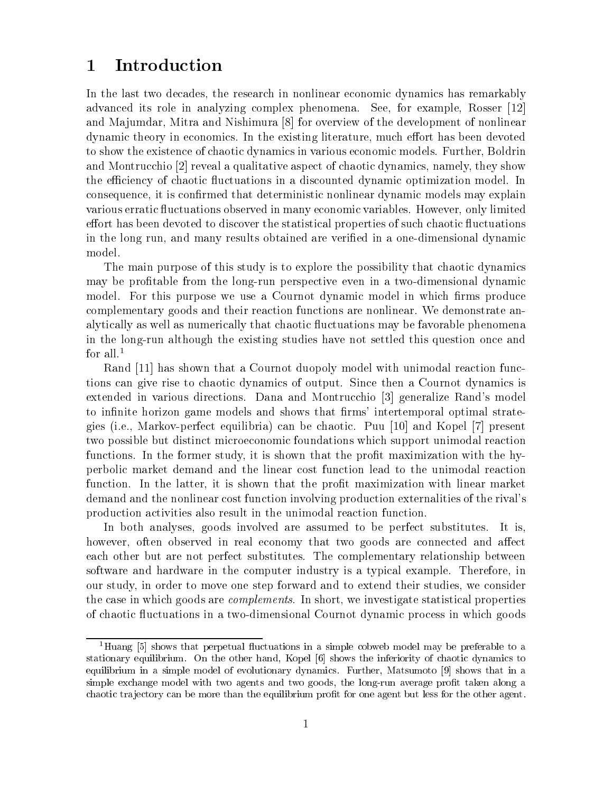## Introduction  $\mathbf 1$

In the last two decades, the research in nonlinear economic dynamics has remarkably advanced its role in analyzing complex phenomena. See, for example, Rosser [12] and Majumdar, Mitra and Nishimura [8] for overview of the development of nonlinear dynamic theory in economics. In the existing literature, much effort has been devoted to show the existence of chaotic dynamics in various economic models. Further, Boldrin and Montrucchio [2] reveal a qualitative aspect of chaotic dynamics, namely, they show the efficiency of chaotic fluctuations in a discounted dynamic optimization model. In consequence, it is confirmed that deterministic nonlinear dynamic models may explain various erratic fluctuations observed in many economic variables. However, only limited effort has been devoted to discover the statistical properties of such chaotic fluctuations in the long run, and many results obtained are verified in a one-dimensional dynamic model.

The main purpose of this study is to explore the possibility that chaotic dynamics may be profitable from the long-run perspective even in a two-dimensional dynamic model. For this purpose we use a Cournot dynamic model in which firms produce complementary goods and their reaction functions are nonlinear. We demonstrate analytically as well as numerically that chaotic fluctuations may be favorable phenomena in the long-run although the existing studies have not settled this question once and for all.<sup>1</sup>

Rand [11] has shown that a Cournot duopoly model with unimodal reaction functions can give rise to chaotic dynamics of output. Since then a Cournot dynamics is extended in various directions. Dana and Montrucchio [3] generalize Rand's model to infinite horizon game models and shows that firms' intertemporal optimal strategies (i.e., Markov-perfect equilibria) can be chaotic. Puu [10] and Kopel [7] present two possible but distinct microeconomic foundations which support unimodal reaction functions. In the former study, it is shown that the profit maximization with the hyperbolic market demand and the linear cost function lead to the unimodal reaction function. In the latter, it is shown that the profit maximization with linear market demand and the nonlinear cost function involving production externalities of the rival's production activities also result in the unimodal reaction function.

In both analyses, goods involved are assumed to be perfect substitutes. It is. however, often observed in real economy that two goods are connected and affect each other but are not perfect substitutes. The complementary relationship between software and hardware in the computer industry is a typical example. Therefore, in our study, in order to move one step forward and to extend their studies, we consider the case in which goods are *complements*. In short, we investigate statistical properties of chaotic fluctuations in a two-dimensional Cournot dynamic process in which goods

<sup>&</sup>lt;sup>1</sup>Huang [5] shows that perpetual fluctuations in a simple cobweb model may be preferable to a stationary equilibrium. On the other hand, Kopel [6] shows the inferiority of chaotic dynamics to equilibrium in a simple model of evolutionary dynamics. Further, Matsumoto [9] shows that in a simple exchange model with two agents and two goods, the long-run average profit taken along a chaotic trajectory can be more than the equilibrium profit for one agent but less for the other agent.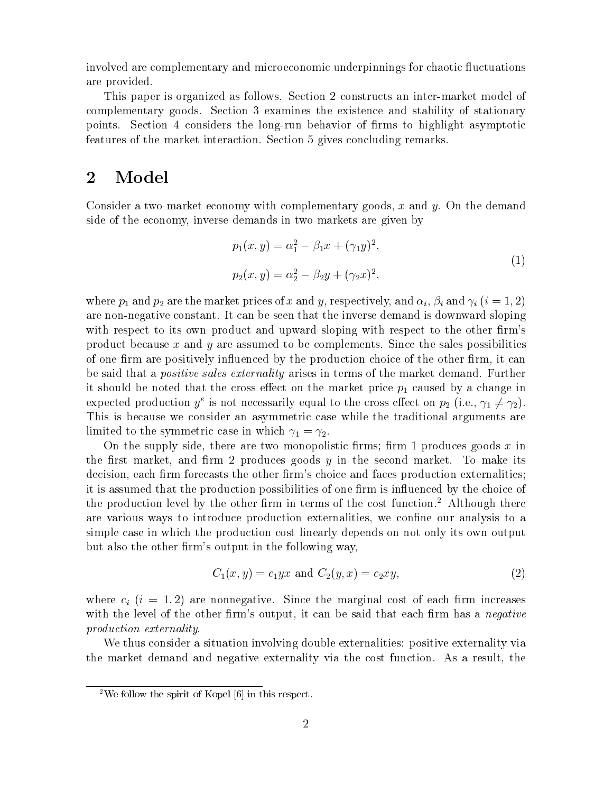involved are complementary and microeconomic underpinnings for chaotic fluctuations are provided.

This paper is organized as follows. Section 2 constructs an inter-market model of complementary goods. Section 3 examines the existence and stability of stationary points. Section 4 considers the long-run behavior of firms to highlight asymptotic features of the market interaction. Section 5 gives concluding remarks.

## $\overline{2}$ Model

Consider a two-market economy with complementary goods, x and  $y$ . On the demand side of the economy, inverse demands in two markets are given by

$$
p_1(x, y) = \alpha_1^2 - \beta_1 x + (\gamma_1 y)^2,
$$
  
\n
$$
p_2(x, y) = \alpha_2^2 - \beta_2 y + (\gamma_2 x)^2,
$$
\n(1)

where  $p_1$  and  $p_2$  are the market prices of x and y, respectively, and  $\alpha_i$ ,  $\beta_i$  and  $\gamma_i$  ( $i = 1, 2$ ) are non-negative constant. It can be seen that the inverse demand is downward sloping with respect to its own product and upward sloping with respect to the other firm's product because  $x$  and  $y$  are assumed to be complements. Since the sales possibilities of one firm are positively influenced by the production choice of the other firm, it can be said that a *positive sales externality* arises in terms of the market demand. Further it should be noted that the cross effect on the market price  $p_1$  caused by a change in expected production  $y^e$  is not necessarily equal to the cross effect on  $p_2$  (i.e.,  $\gamma_1 \neq \gamma_2$ ). This is because we consider an asymmetric case while the traditional arguments are limited to the symmetric case in which  $\gamma_1 = \gamma_2$ .

On the supply side, there are two monopolistic firms; firm 1 produces goods  $x$  in the first market, and firm 2 produces goods  $y$  in the second market. To make its decision, each firm forecasts the other firm's choice and faces production externalities: it is assumed that the production possibilities of one firm is influenced by the choice of the production level by the other firm in terms of the cost function.<sup>2</sup> Although there are various ways to introduce production externalities, we confine our analysis to a simple case in which the production cost linearly depends on not only its own output but also the other firm's output in the following way,

$$
C_1(x, y) = c_1 yx \text{ and } C_2(y, x) = c_2 xy,
$$
\n(2)

where  $c_i$  (i = 1, 2) are nonnegative. Since the marginal cost of each firm increases with the level of the other firm's output, it can be said that each firm has a *negative production externality.* 

We thus consider a situation involving double externalities: positive externality via the market demand and negative externality via the cost function. As a result, the

<sup>&</sup>lt;sup>2</sup>We follow the spirit of Kopel  $[6]$  in this respect.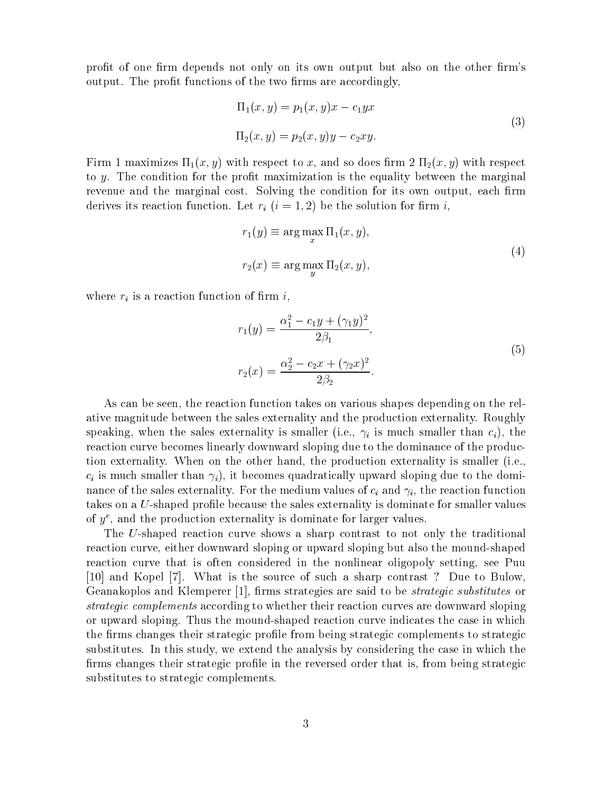profit of one firm depends not only on its own output but also on the other firm's output. The profit functions of the two firms are accordingly,

$$
\Pi_1(x, y) = p_1(x, y)x - c_1yx
$$
  
\n
$$
\Pi_2(x, y) = p_2(x, y)y - c_2xy.
$$
\n(3)

Firm 1 maximizes  $\Pi_1(x, y)$  with respect to x, and so does firm 2  $\Pi_2(x, y)$  with respect to y. The condition for the profit maximization is the equality between the marginal revenue and the marginal cost. Solving the condition for its own output, each firm derives its reaction function. Let  $r_i$   $(i = 1, 2)$  be the solution for firm i,

$$
r_1(y) \equiv \arg\max_x \Pi_1(x, y),
$$
  
\n
$$
r_2(x) \equiv \arg\max_y \Pi_2(x, y),
$$
\n(4)

where  $r_i$  is a reaction function of firm i,

$$
r_1(y) = \frac{\alpha_1^2 - c_1 y + (\gamma_1 y)^2}{2\beta_1},
$$
  
\n
$$
r_2(x) = \frac{\alpha_2^2 - c_2 x + (\gamma_2 x)^2}{2\beta_2}.
$$
\n(5)

As can be seen, the reaction function takes on various shapes depending on the relative magnitude between the sales externality and the production externality. Roughly speaking, when the sales externality is smaller (i.e.,  $\gamma_i$  is much smaller than  $c_i$ ), the reaction curve becomes linearly downward sloping due to the dominance of the production externality. When on the other hand, the production externality is smaller (i.e.,  $c_i$  is much smaller than  $\gamma_i$ , it becomes quadratically upward sloping due to the dominance of the sales externality. For the medium values of  $c_i$  and  $\gamma_i$ , the reaction function takes on a U-shaped profile because the sales externality is dominate for smaller values of  $y^e$ , and the production externality is dominate for larger values.

The U-shaped reaction curve shows a sharp contrast to not only the traditional reaction curve, either downward sloping or upward sloping but also the mound-shaped reaction curve that is often considered in the nonlinear oligopoly setting, see Puu [10] and Kopel [7]. What is the source of such a sharp contrast? Due to Bulow. Geanakoplos and Klemperer [1], firms strategies are said to be *strategic substitutes* or strategic complements according to whether their reaction curves are downward sloping or upward sloping. Thus the mound-shaped reaction curve indicates the case in which the firms changes their strategic profile from being strategic complements to strategic substitutes. In this study, we extend the analysis by considering the case in which the firms changes their strategic profile in the reversed order that is, from being strategic substitutes to strategic complements.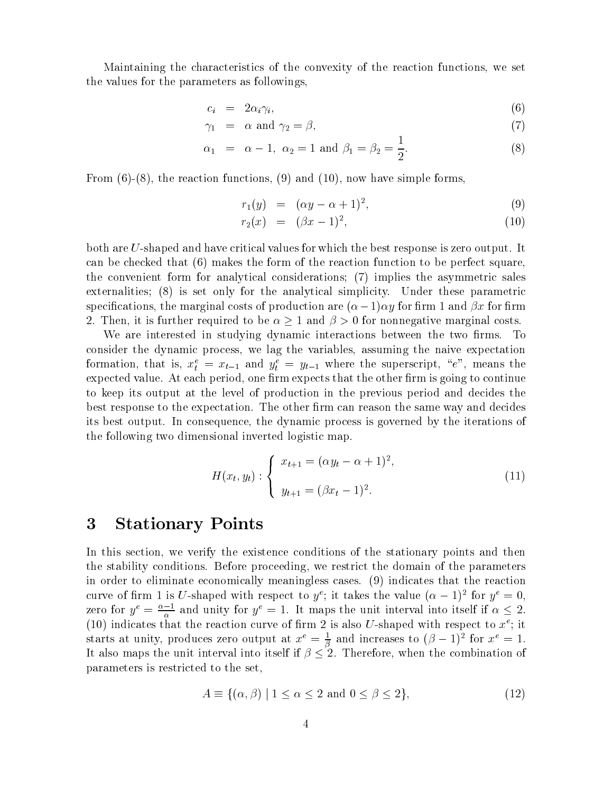Maintaining the characteristics of the convexity of the reaction functions, we set the values for the parameters as followings,

$$
c_i = 2\alpha_i \gamma_i,\tag{6}
$$

$$
\gamma_1 = \alpha \text{ and } \gamma_2 = \beta,\tag{7}
$$

$$
\alpha_1 = \alpha - 1, \ \alpha_2 = 1 \text{ and } \beta_1 = \beta_2 = \frac{1}{2}.
$$
 (8)

From  $(6)-(8)$ , the reaction functions,  $(9)$  and  $(10)$ , now have simple forms,

$$
r_1(y) = (\alpha y - \alpha + 1)^2, \tag{9}
$$

$$
r_2(x) = (\beta x - 1)^2, \tag{10}
$$

both are U-shaped and have critical values for which the best response is zero output. It can be checked that  $(6)$  makes the form of the reaction function to be perfect square, the convenient form for analytical considerations; (7) implies the asymmetric sales externalities; (8) is set only for the analytical simplicity. Under these parametric specifications, the marginal costs of production are  $(\alpha - 1)\alpha y$  for firm 1 and  $\beta x$  for firm 2. Then, it is further required to be  $\alpha \geq 1$  and  $\beta > 0$  for nonnegative marginal costs.

We are interested in studying dynamic interactions between the two firms. To consider the dynamic process, we lag the variables, assuming the naive expectation formation, that is,  $x_t^e = x_{t-1}$  and  $y_t^e = y_{t-1}$  where the superscript, "e", means the expected value. At each period, one firm expects that the other firm is going to continue to keep its output at the level of production in the previous period and decides the best response to the expectation. The other firm can reason the same way and decides its best output. In consequence, the dynamic process is governed by the iterations of the following two dimensional inverted logistic map.

$$
H(x_t, y_t) : \begin{cases} x_{t+1} = (\alpha y_t - \alpha + 1)^2, \\ y_{t+1} = (\beta x_t - 1)^2. \end{cases}
$$
(11)

#### **Stationary Points**  $\boldsymbol{3}$

In this section, we verify the existence conditions of the stationary points and then the stability conditions. Before proceeding, we restrict the domain of the parameters in order to eliminate economically meaningless cases. (9) indicates that the reaction curve of firm 1 is U-shaped with respect to  $y^e$ ; it takes the value  $(\alpha - 1)^2$  for  $y^e = 0$ . zero for  $y^e = \frac{\alpha - 1}{\alpha}$  and unity for  $y^e = 1$ . It maps the unit interval into itself if  $\alpha \leq 2$ . (10) indicates that the reaction curve of firm 2 is also U-shaped with respect to  $x^e$ ; it starts at unity, produces zero output at  $x^e = \frac{1}{\beta}$  and increases to  $(\beta - 1)^2$  for  $x^e = 1$ . It also maps the unit interval into itself if  $\beta \leq 2$ . Therefore, when the combination of parameters is restricted to the set.

$$
A \equiv \{ (\alpha, \beta) \mid 1 \le \alpha \le 2 \text{ and } 0 \le \beta \le 2 \},\tag{12}
$$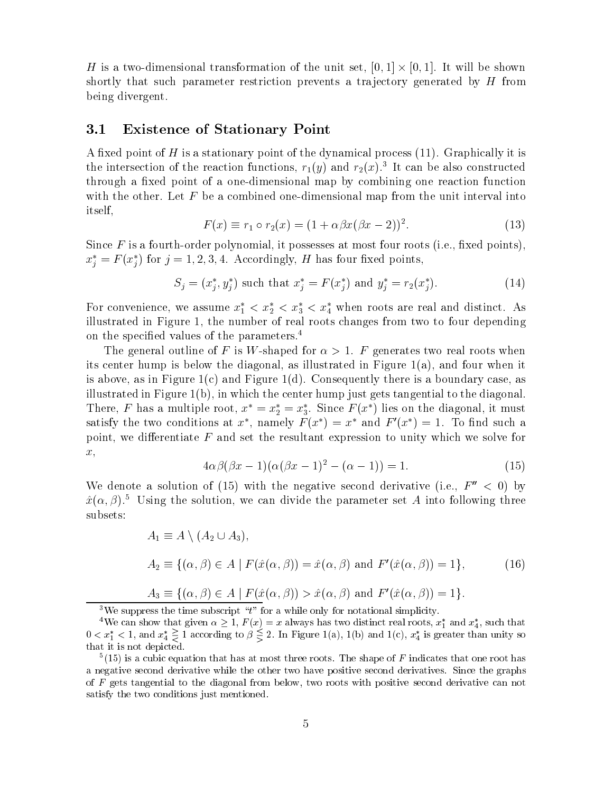H is a two-dimensional transformation of the unit set,  $[0,1] \times [0,1]$ . It will be shown shortly that such parameter restriction prevents a trajectory generated by H from being divergent.

#### $3.1$ **Existence of Stationary Point**

A fixed point of  $H$  is a stationary point of the dynamical process  $(11)$ . Graphically it is the intersection of the reaction functions,  $r_1(y)$  and  $r_2(x)$ .<sup>3</sup> It can be also constructed through a fixed point of a one-dimensional map by combining one reaction function with the other. Let  $F$  be a combined one-dimensional map from the unit interval into *itself.* 

$$
F(x) \equiv r_1 \circ r_2(x) = (1 + \alpha \beta x (\beta x - 2))^2.
$$
 (13)

Since  $F$  is a fourth-order polynomial, it possesses at most four roots (i.e., fixed points).  $x_i^* = F(x_i^*)$  for  $j = 1, 2, 3, 4$ . Accordingly, H has four fixed points,

$$
S_j = (x_j^*, y_j^*) \text{ such that } x_j^* = F(x_j^*) \text{ and } y_j^* = r_2(x_j^*).
$$
 (14)

For convenience, we assume  $x_1^* < x_2^* < x_3^* < x_4^*$  when roots are real and distinct. As illustrated in Figure 1, the number of real roots changes from two to four depending on the specified values of the parameters.<sup>4</sup>

The general outline of F is W-shaped for  $\alpha > 1$ . F generates two real roots when its center hump is below the diagonal, as illustrated in Figure 1(a), and four when it is above, as in Figure  $1(c)$  and Figure 1(d). Consequently there is a boundary case, as illustrated in Figure 1(b), in which the center hump just gets tangential to the diagonal. There, F has a multiple root,  $x^* = x_2^* = x_3^*$ . Since  $F(x^*)$  lies on the diagonal, it must satisfy the two conditions at  $x^*$ , namely  $F(x^*) = x^*$  and  $F'(x^*) = 1$ . To find such a point, we differentiate  $F$  and set the resultant expression to unity which we solve for  $x,$ 

$$
4\alpha\beta(\beta x - 1)(\alpha(\beta x - 1)^2 - (\alpha - 1)) = 1.
$$
 (15)

We denote a solution of (15) with the negative second derivative (i.e.,  $F''$  < 0) by  $\hat{x}(\alpha, \beta)$ .<sup>5</sup> Using the solution, we can divide the parameter set A into following three subsets:

$$
A_1 \equiv A \setminus (A_2 \cup A_3),
$$
  
\n
$$
A_2 \equiv \{ (\alpha, \beta) \in A \mid F(\hat{x}(\alpha, \beta)) = \hat{x}(\alpha, \beta) \text{ and } F'(\hat{x}(\alpha, \beta)) = 1 \},
$$
  
\n
$$
A_3 \equiv \{ (\alpha, \beta) \in A \mid F(\hat{x}(\alpha, \beta)) > \hat{x}(\alpha, \beta) \text{ and } F'(\hat{x}(\alpha, \beta)) = 1 \}.
$$
\n(16)

<sup>3</sup>We suppress the time subscript " $t$ " for a while only for notational simplicity.

 $5(15)$  is a cubic equation that has at most three roots. The shape of F indicates that one root has a negative second derivative while the other two have positive second derivatives. Since the graphs of  $F$  gets tangential to the diagonal from below, two roots with positive second derivative can not satisfy the two conditions just mentioned.

<sup>&</sup>lt;sup>4</sup>We can show that given  $\alpha \geq 1$ ,  $F(x) = x$  always has two distinct real roots,  $x_1^*$  and  $x_4^*$ , such that  $0 < x_1^* < 1$ , and  $x_4^* \geq 1$  according to  $\beta \leq 2$ . In Figure 1(a), 1(b) and 1(c),  $x_4^*$  is greater than that it is not depicted.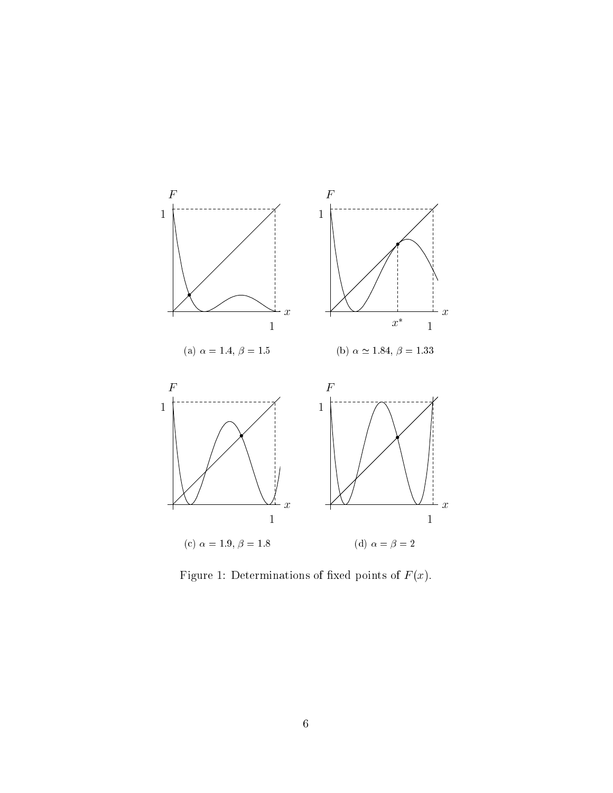

Figure 1: Determinations of fixed points of  $F(x)$ .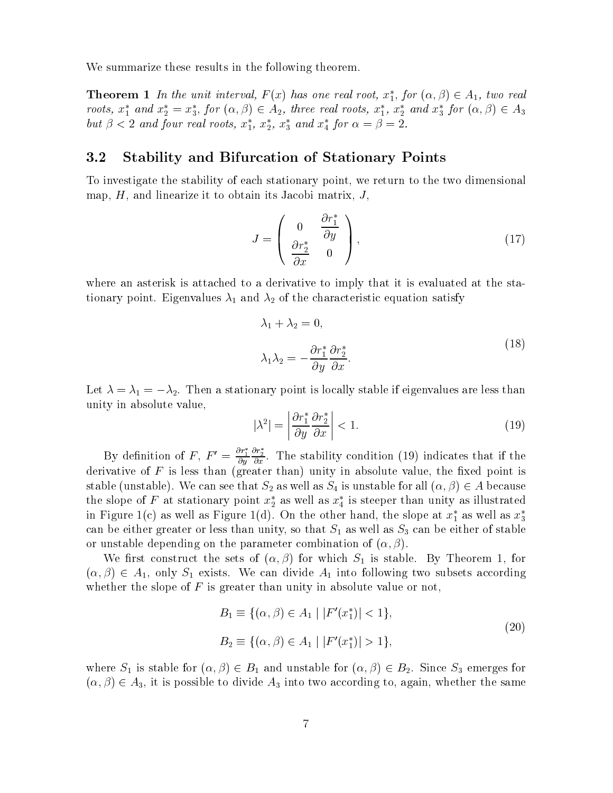We summarize these results in the following theorem.

**Theorem 1** In the unit interval,  $F(x)$  has one real root,  $x_1^*$ , for  $(\alpha, \beta) \in A_1$ , two real roots,  $x_1^*$  and  $x_2^* = x_3^*$ , for  $(\alpha, \beta) \in A_2$ , three real roots,  $x_1^*$ ,  $x_2^*$  and  $x_3^*$  for  $(\alpha, \beta) \in A_3$ but  $\beta$  < 2 and four real roots,  $x_1^*$ ,  $x_2^*$ ,  $x_3^*$  and  $x_4^*$  for  $\alpha = \beta = 2$ .

#### 3.2 **Stability and Bifurcation of Stationary Points**

To investigate the stability of each stationary point, we return to the two dimensional map,  $H$ , and linearize it to obtain its Jacobi matrix,  $J$ ,

$$
J = \begin{pmatrix} 0 & \frac{\partial r_1^*}{\partial y} \\ \frac{\partial r_2^*}{\partial x} & 0 \end{pmatrix},
$$
(17)

where an asterisk is attached to a derivative to imply that it is evaluated at the stationary point. Eigenvalues  $\lambda_1$  and  $\lambda_2$  of the characteristic equation satisfy

$$
\lambda_1 + \lambda_2 = 0,
$$
  
\n
$$
\lambda_1 \lambda_2 = -\frac{\partial r_1^*}{\partial y} \frac{\partial r_2^*}{\partial x}.
$$
\n(18)

Let  $\lambda = \lambda_1 = -\lambda_2$ . Then a stationary point is locally stable if eigenvalues are less than unity in absolute value,

$$
|\lambda^2| = \left| \frac{\partial r_1^*}{\partial y} \frac{\partial r_2^*}{\partial x} \right| < 1. \tag{19}
$$

By definition of F,  $F' = \frac{\partial r_1^*}{\partial y} \frac{\partial r_2^*}{\partial x}$ . The stability condition (19) indicates that if the derivative of  $F$  is less than (greater than) unity in absolute value, the fixed point is stable (unstable). We can see that  $S_2$  as well as  $S_4$  is unstable for all  $(\alpha, \beta) \in A$  because the slope of F at stationary point  $x_2^*$  as well as  $x_4^*$  is steeper than unity as illustrated in Figure 1(c) as well as Figure 1(d). On the other hand, the slope at  $x_1^*$  as well as  $x_3^*$ can be either greater or less than unity, so that  $S_1$  as well as  $S_3$  can be either of stable or unstable depending on the parameter combination of  $(\alpha, \beta)$ .

We first construct the sets of  $(\alpha, \beta)$  for which  $S_1$  is stable. By Theorem 1, for  $(\alpha, \beta) \in A_1$ , only  $S_1$  exists. We can divide  $A_1$  into following two subsets according whether the slope of  $F$  is greater than unity in absolute value or not,

$$
B_1 \equiv \{ (\alpha, \beta) \in A_1 \mid |F'(x_1^*)| < 1 \},
$$
\n
$$
B_2 \equiv \{ (\alpha, \beta) \in A_1 \mid |F'(x_1^*)| > 1 \},
$$
\n
$$
(20)
$$

where  $S_1$  is stable for  $(\alpha, \beta) \in B_1$  and unstable for  $(\alpha, \beta) \in B_2$ . Since  $S_3$  emerges for  $(\alpha, \beta) \in A_3$ , it is possible to divide  $A_3$  into two according to, again, whether the same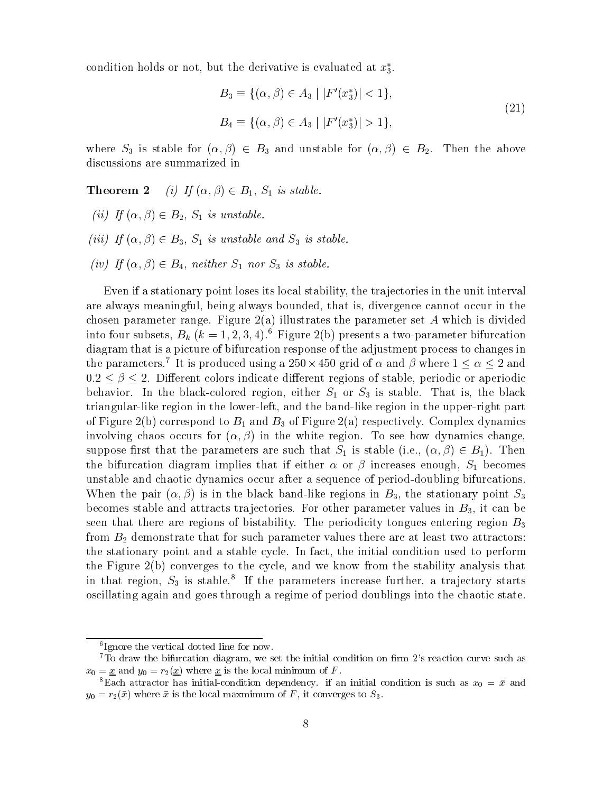condition holds or not, but the derivative is evaluated at  $x_3^*$ .

$$
B_3 \equiv \{ (\alpha, \beta) \in A_3 \mid |F'(x_3^*)| < 1 \},
$$
\n
$$
B_4 \equiv \{ (\alpha, \beta) \in A_3 \mid |F'(x_3^*)| > 1 \},
$$
\n
$$
(21)
$$

where  $S_3$  is stable for  $(\alpha, \beta) \in B_3$  and unstable for  $(\alpha, \beta) \in B_2$ . Then the above discussions are summarized in

(i) If  $(\alpha, \beta) \in B_1$ ,  $S_1$  is stable. Theorem 2

- (ii) If  $(\alpha, \beta) \in B_2$ ,  $S_1$  is unstable.
- (iii) If  $(\alpha, \beta) \in B_3$ ,  $S_1$  is unstable and  $S_3$  is stable.
- (iv) If  $(\alpha, \beta) \in B_4$ , neither  $S_1$  nor  $S_3$  is stable.

Even if a stationary point loses its local stability, the trajectories in the unit interval are always meaningful, being always bounded, that is, divergence cannot occur in the chosen parameter range. Figure  $2(a)$  illustrates the parameter set A which is divided into four subsets,  $B_k$   $(k = 1, 2, 3, 4)$ .<sup>6</sup> Figure 2(b) presents a two-parameter bifurcation diagram that is a picture of bifurcation response of the adjustment process to changes in the parameters.<sup>7</sup> It is produced using a 250  $\times$  450 grid of  $\alpha$  and  $\beta$  where  $1 \leq \alpha \leq 2$  and  $0.2 \leq \beta \leq 2$ . Different colors indicate different regions of stable, periodic or aperiodic behavior. In the black-colored region, either  $S_1$  or  $S_3$  is stable. That is, the black triangular-like region in the lower-left, and the band-like region in the upper-right part of Figure 2(b) correspond to  $B_1$  and  $B_3$  of Figure 2(a) respectively. Complex dynamics involving chaos occurs for  $(\alpha, \beta)$  in the white region. To see how dynamics change, suppose first that the parameters are such that  $S_1$  is stable (i.e.,  $(\alpha, \beta) \in B_1$ ). Then the bifurcation diagram implies that if either  $\alpha$  or  $\beta$  increases enough,  $S_1$  becomes unstable and chaotic dynamics occur after a sequence of period-doubling bifurcations. When the pair  $(\alpha, \beta)$  is in the black band-like regions in  $B_3$ , the stationary point  $S_3$ becomes stable and attracts trajectories. For other parameter values in  $B_3$ , it can be seen that there are regions of bistability. The periodicity tongues entering region  $B_3$ from  $B_2$  demonstrate that for such parameter values there are at least two attractors: the stationary point and a stable cycle. In fact, the initial condition used to perform the Figure 2(b) converges to the cycle, and we know from the stability analysis that in that region,  $S_3$  is stable.<sup>8</sup> If the parameters increase further, a trajectory starts oscillating again and goes through a regime of period doublings into the chaotic state.

 ${}^{6}$ Ignore the vertical dotted line for now.

 $7\overline{1}$  o draw the bifurcation diagram, we set the initial condition on firm 2's reaction curve such as  $x_0 = \underline{x}$  and  $y_0 = r_2(\underline{x})$  where  $\underline{x}$  is the local minimum of F.

<sup>&</sup>lt;sup>8</sup>Each attractor has initial-condition dependency. if an initial condition is such as  $x_0 = \bar{x}$  and  $y_0 = r_2(\bar{x})$  where  $\bar{x}$  is the local maxmimum of F, it converges to  $S_3$ .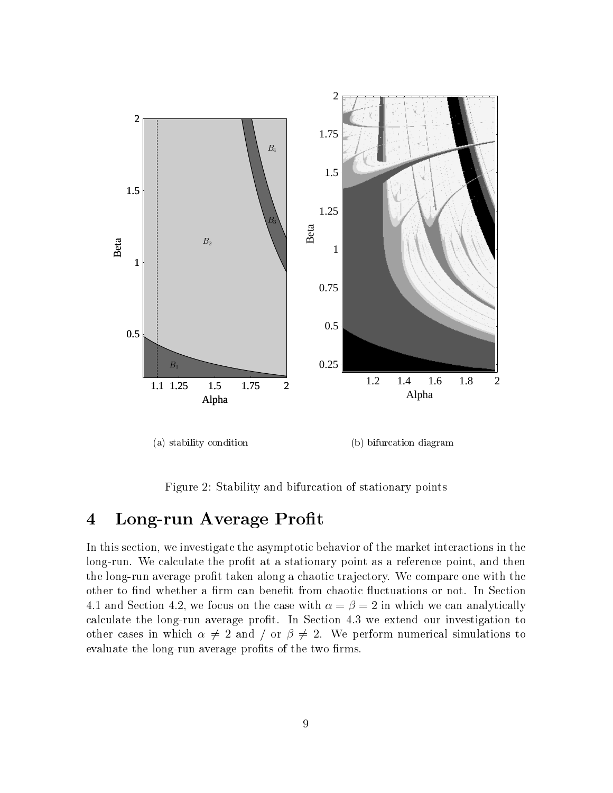

Figure 2: Stability and bifurcation of stationary points

# Long-run Average Profit  $\overline{\mathbf{4}}$

In this section, we investigate the asymptotic behavior of the market interactions in the long-run. We calculate the profit at a stationary point as a reference point, and then the long-run average profit taken along a chaotic trajectory. We compare one with the other to find whether a firm can benefit from chaotic fluctuations or not. In Section 4.1 and Section 4.2, we focus on the case with  $\alpha = \beta = 2$  in which we can analytically calculate the long-run average profit. In Section 4.3 we extend our investigation to other cases in which  $\alpha \neq 2$  and  $\alpha \neq 2$ . We perform numerical simulations to evaluate the long-run average profits of the two firms.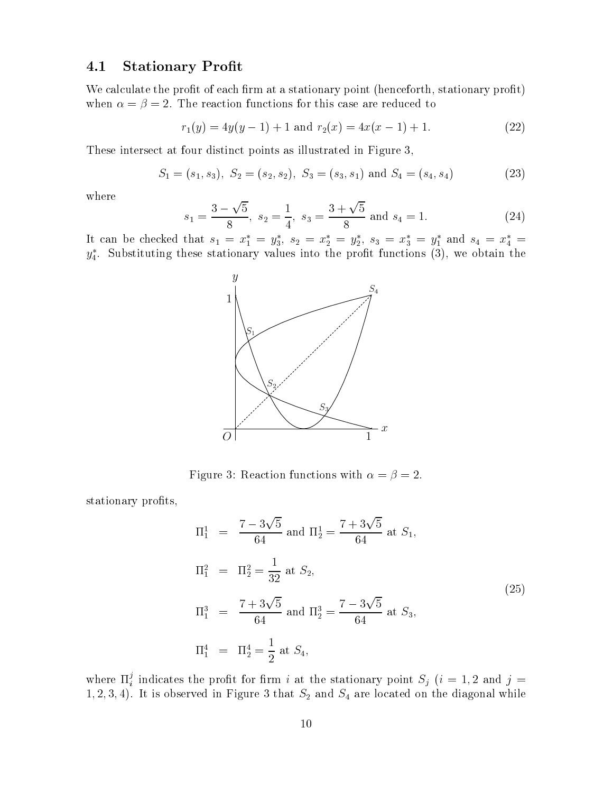#### **Stationary Profit**  $4.1$

We calculate the profit of each firm at a stationary point (henceforth, stationary profit) when  $\alpha = \beta = 2$ . The reaction functions for this case are reduced to

$$
r_1(y) = 4y(y-1) + 1 \text{ and } r_2(x) = 4x(x-1) + 1. \tag{22}
$$

These intersect at four distinct points as illustrated in Figure 3,

$$
S_1 = (s_1, s_3), S_2 = (s_2, s_2), S_3 = (s_3, s_1) \text{ and } S_4 = (s_4, s_4)
$$
 (23)

where

$$
s_1 = \frac{3 - \sqrt{5}}{8}
$$
,  $s_2 = \frac{1}{4}$ ,  $s_3 = \frac{3 + \sqrt{5}}{8}$  and  $s_4 = 1$ . (24)

It can be checked that  $s_1 = x_1^* = y_3^*$ ,  $s_2 = x_2^* = y_2^*$ ,  $s_3 = x_3^* = y_1^*$  and  $s_4 = x_4^* = y_4^*$ . Substituting these stationary values into the profit functions (3), we obtain the



Figure 3: Reaction functions with  $\alpha=\beta=2.$ 

stationary profits,

$$
\Pi_1^1 = \frac{7 - 3\sqrt{5}}{64} \text{ and } \Pi_2^1 = \frac{7 + 3\sqrt{5}}{64} \text{ at } S_1,
$$
  
\n
$$
\Pi_1^2 = \Pi_2^2 = \frac{1}{32} \text{ at } S_2,
$$
  
\n
$$
\Pi_1^3 = \frac{7 + 3\sqrt{5}}{64} \text{ and } \Pi_2^3 = \frac{7 - 3\sqrt{5}}{64} \text{ at } S_3,
$$
  
\n
$$
\Pi_1^4 = \Pi_2^4 = \frac{1}{2} \text{ at } S_4,
$$
\n(25)

where  $\Pi_i^j$  indicates the profit for firm i at the stationary point  $S_j$  (i = 1, 2 and j = 1, 2, 3, 4). It is observed in Figure 3 that  $S_2$  and  $S_4$  are located on the diagonal while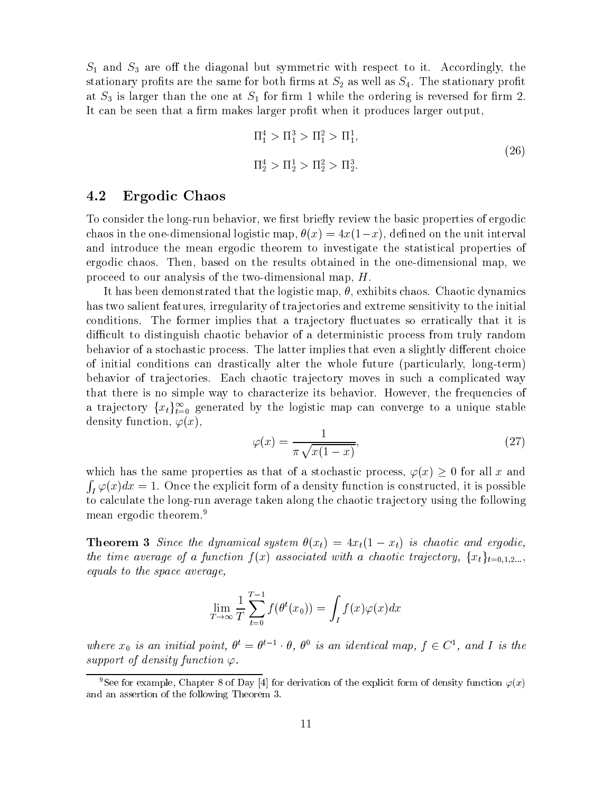$S_1$  and  $S_3$  are off the diagonal but symmetric with respect to it. Accordingly, the stationary profits are the same for both firms at  $S_2$  as well as  $S_4$ . The stationary profit at  $S_3$  is larger than the one at  $S_1$  for firm 1 while the ordering is reversed for firm 2. It can be seen that a firm makes larger profit when it produces larger output,

$$
\Pi_1^4 > \Pi_1^3 > \Pi_1^2 > \Pi_1^1,
$$
\n
$$
\Pi_2^4 > \Pi_2^1 > \Pi_2^2 > \Pi_2^3.
$$
\n(26)

#### Ergodic Chaos 4.2

To consider the long-run behavior, we first briefly review the basic properties of ergodic chaos in the one-dimensional logistic map,  $\theta(x) = 4x(1-x)$ , defined on the unit interval and introduce the mean ergodic theorem to investigate the statistical properties of ergodic chaos. Then, based on the results obtained in the one-dimensional map, we proceed to our analysis of the two-dimensional map,  $H$ .

It has been demonstrated that the logistic map,  $\theta$ , exhibits chaos. Chaotic dynamics has two salient features, irregularity of trajectories and extreme sensitivity to the initial conditions. The former implies that a trajectory fluctuates so erratically that it is difficult to distinguish chaotic behavior of a deterministic process from truly random behavior of a stochastic process. The latter implies that even a slightly different choice of initial conditions can drastically alter the whole future (particularly, long-term) behavior of trajectories. Each chaotic trajectory moves in such a complicated way that there is no simple way to characterize its behavior. However, the frequencies of a trajectory  $\{x_t\}_{t=0}^{\infty}$  generated by the logistic map can converge to a unique stable density function,  $\varphi(x)$ ,

$$
\varphi(x) = \frac{1}{\pi \sqrt{x(1-x)}},\tag{27}
$$

which has the same properties as that of a stochastic process,  $\varphi(x) \geq 0$  for all x and  $\int_I \varphi(x) dx = 1$ . Once the explicit form of a density function is constructed, it is possible to calculate the long-run average taken along the chaotic trajectory using the following mean ergodic theorem.<sup>9</sup>

**Theorem 3** Since the dynamical system  $\theta(x_t) = 4x_t(1 - x_t)$  is chaotic and ergodic, the time average of a function  $f(x)$  associated with a chaotic trajectory,  $\{x_t\}_{t=0,1,2,...}$ equals to the space average,

$$
\lim_{T \to \infty} \frac{1}{T} \sum_{t=0}^{T-1} f(\theta^t(x_0)) = \int_I f(x) \varphi(x) dx
$$

where  $x_0$  is an initial point,  $\theta^t = \theta^{t-1} \cdot \theta$ ,  $\theta^0$  is an identical map,  $f \in C^1$ , and I is the support of density function  $\varphi$ .

<sup>&</sup>lt;sup>9</sup>See for example, Chapter 8 of Day [4] for derivation of the explicit form of density function  $\varphi(x)$ and an assertion of the following Theorem 3.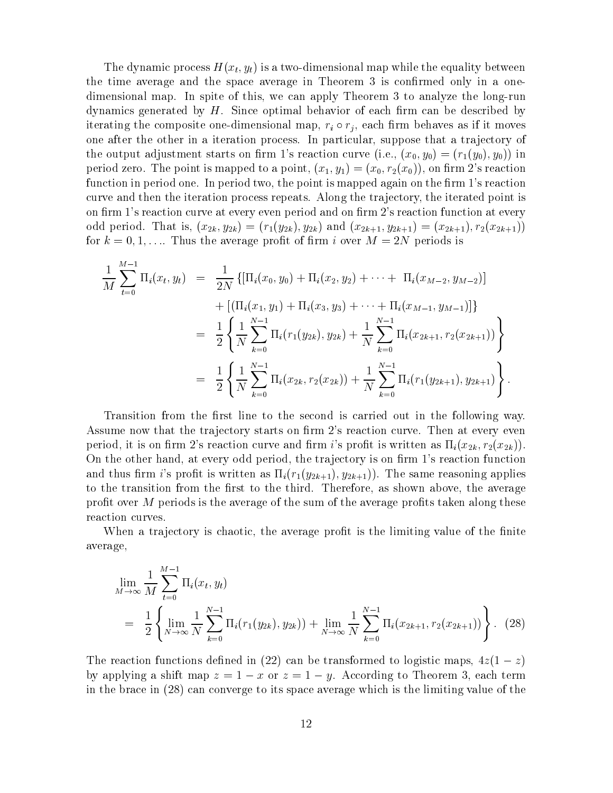The dynamic process  $H(x_t, y_t)$  is a two-dimensional map while the equality between the time average and the space average in Theorem 3 is confirmed only in a onedimensional map. In spite of this, we can apply Theorem 3 to analyze the long-run dynamics generated by  $H$ . Since optimal behavior of each firm can be described by iterating the composite one-dimensional map,  $r_i \circ r_j$ , each firm behaves as if it moves one after the other in a iteration process. In particular, suppose that a trajectory of the output adjustment starts on firm 1's reaction curve (i.e.,  $(x_0, y_0) = (r_1(y_0), y_0)$ ) in period zero. The point is mapped to a point,  $(x_1, y_1) = (x_0, r_2(x_0))$ , on firm 2's reaction function in period one. In period two, the point is mapped again on the firm 1's reaction curve and then the iteration process repeats. Along the trajectory, the iterated point is on firm 1's reaction curve at every even period and on firm 2's reaction function at every odd period. That is,  $(x_{2k}, y_{2k}) = (r_1(y_{2k}), y_{2k})$  and  $(x_{2k+1}, y_{2k+1}) = (x_{2k+1}), r_2(x_{2k+1})$ for  $k = 0, 1, \ldots$  Thus the average profit of firm i over  $M = 2N$  periods is

$$
\frac{1}{M} \sum_{t=0}^{M-1} \Pi_i(x_t, y_t) = \frac{1}{2N} \{ [\Pi_i(x_0, y_0) + \Pi_i(x_2, y_2) + \cdots + \Pi_i(x_{M-2}, y_{M-2})] + [(\Pi_i(x_1, y_1) + \Pi_i(x_3, y_3) + \cdots + \Pi_i(x_{M-1}, y_{M-1})] \}
$$
\n
$$
= \frac{1}{2} \left\{ \frac{1}{N} \sum_{k=0}^{N-1} \Pi_i(r_1(y_{2k}), y_{2k}) + \frac{1}{N} \sum_{k=0}^{N-1} \Pi_i(x_{2k+1}, r_2(x_{2k+1})) \right\}
$$
\n
$$
= \frac{1}{2} \left\{ \frac{1}{N} \sum_{k=0}^{N-1} \Pi_i(x_{2k}, r_2(x_{2k})) + \frac{1}{N} \sum_{k=0}^{N-1} \Pi_i(r_1(y_{2k+1}), y_{2k+1}) \right\}.
$$

Transition from the first line to the second is carried out in the following way. Assume now that the trajectory starts on firm 2's reaction curve. Then at every even period, it is on firm 2's reaction curve and firm i's profit is written as  $\Pi_i(x_{2k}, r_2(x_{2k}))$ . On the other hand, at every odd period, the trajectory is on firm 1's reaction function and thus firm i's profit is written as  $\Pi_i(r_1(y_{2k+1}), y_{2k+1})$ . The same reasoning applies to the transition from the first to the third. Therefore, as shown above, the average profit over  $M$  periods is the average of the sum of the average profits taken along these reaction curves.

When a trajectory is chaotic, the average profit is the limiting value of the finite average,

$$
\lim_{M \to \infty} \frac{1}{M} \sum_{t=0}^{M-1} \Pi_i(x_t, y_t)
$$
\n
$$
= \frac{1}{2} \left\{ \lim_{N \to \infty} \frac{1}{N} \sum_{k=0}^{N-1} \Pi_i(r_1(y_{2k}), y_{2k})) + \lim_{N \to \infty} \frac{1}{N} \sum_{k=0}^{N-1} \Pi_i(x_{2k+1}, r_2(x_{2k+1})) \right\}.
$$
\n(28)

The reaction functions defined in (22) can be transformed to logistic maps,  $4z(1-z)$ by applying a shift map  $z = 1 - x$  or  $z = 1 - y$ . According to Theorem 3, each term in the brace in (28) can converge to its space average which is the limiting value of the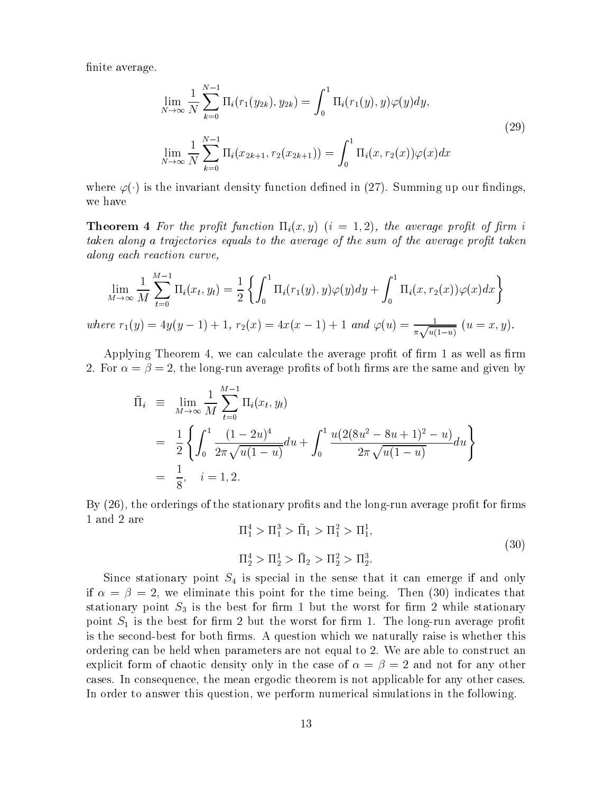finite average.

$$
\lim_{N \to \infty} \frac{1}{N} \sum_{k=0}^{N-1} \Pi_i(r_1(y_{2k}), y_{2k}) = \int_0^1 \Pi_i(r_1(y), y) \varphi(y) dy,
$$
\n
$$
\lim_{N \to \infty} \frac{1}{N} \sum_{k=0}^{N-1} \Pi_i(x_{2k+1}, r_2(x_{2k+1})) = \int_0^1 \Pi_i(x, r_2(x)) \varphi(x) dx
$$
\n(29)

where  $\varphi(\cdot)$  is the invariant density function defined in (27). Summing up our findings, we have

**Theorem 4** For the profit function  $\Pi_i(x, y)$   $(i = 1, 2)$ , the average profit of firm i taken along a trajectories equals to the average of the sum of the average profit taken along each reaction curve,

$$
\lim_{M \to \infty} \frac{1}{M} \sum_{t=0}^{M-1} \Pi_i(x_t, y_t) = \frac{1}{2} \left\{ \int_0^1 \Pi_i(r_1(y), y) \varphi(y) dy + \int_0^1 \Pi_i(x, r_2(x)) \varphi(x) dx \right\}
$$
  
where  $r_1(y) = 4y(y - 1) + 1$ ,  $r_2(x) = 4x(x - 1) + 1$  and  $\varphi(u) = \frac{1}{\pi \sqrt{u(1-u)}} (u = x, y)$ .

Applying Theorem 4, we can calculate the average profit of firm 1 as well as firm 2. For  $\alpha = \beta = 2$ , the long-run average profits of both firms are the same and given by

$$
\begin{aligned}\n\bar{\Pi}_i & \equiv \lim_{M \to \infty} \frac{1}{M} \sum_{t=0}^{M-1} \Pi_i(x_t, y_t) \\
& = \frac{1}{2} \left\{ \int_0^1 \frac{(1 - 2u)^4}{2\pi \sqrt{u(1 - u)}} du + \int_0^1 \frac{u(2(8u^2 - 8u + 1)^2 - u)}{2\pi \sqrt{u(1 - u)}} du \right\} \\
& = \frac{1}{8}, \quad i = 1, 2.\n\end{aligned}
$$

By (26), the orderings of the stationary profits and the long-run average profit for firms 1 and 2 are

$$
\Pi_1^4 > \Pi_1^3 > \bar{\Pi}_1 > \Pi_1^2 > \Pi_1^1,
$$
\n
$$
\Pi_2^4 > \Pi_2^1 > \bar{\Pi}_2 > \Pi_2^2 > \Pi_2^3.
$$
\n(30)

Since stationary point  $S_4$  is special in the sense that it can emerge if and only if  $\alpha = \beta = 2$ , we eliminate this point for the time being. Then (30) indicates that stationary point  $S_3$  is the best for firm 1 but the worst for firm 2 while stationary point  $S_1$  is the best for firm 2 but the worst for firm 1. The long-run average profit is the second-best for both firms. A question which we naturally raise is whether this ordering can be held when parameters are not equal to 2. We are able to construct an explicit form of chaotic density only in the case of  $\alpha = \beta = 2$  and not for any other cases. In consequence, the mean ergodic theorem is not applicable for any other cases. In order to answer this question, we perform numerical simulations in the following.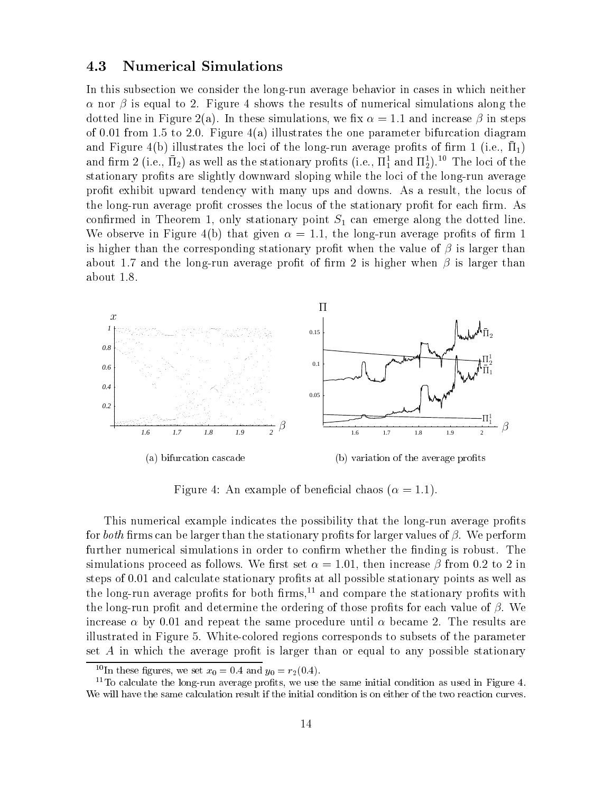#### 4.3 **Numerical Simulations**

In this subsection we consider the long-run average behavior in cases in which neither  $\alpha$  nor  $\beta$  is equal to 2. Figure 4 shows the results of numerical simulations along the dotted line in Figure 2(a). In these simulations, we fix  $\alpha = 1.1$  and increase  $\beta$  in steps of 0.01 from 1.5 to 2.0. Figure 4(a) illustrates the one parameter bifurcation diagram and Figure 4(b) illustrates the loci of the long-run average profits of firm 1 (i.e.,  $\Pi_1$ ) and firm 2 (i.e.,  $\bar{\Pi}_2$ ) as well as the stationary profits (i.e.,  $\bar{\Pi}_1^1$  and  $\bar{\Pi}_2^1$ ).<sup>10</sup> The loci of the stationary profits are slightly downward sloping while the loci of the long-run average profit exhibit upward tendency with many ups and downs. As a result, the locus of the long-run average profit crosses the locus of the stationary profit for each firm. As confirmed in Theorem 1, only stationary point  $S_1$  can emerge along the dotted line. We observe in Figure 4(b) that given  $\alpha = 1.1$ , the long-run average profits of firm 1 is higher than the corresponding stationary profit when the value of  $\beta$  is larger than about 1.7 and the long-run average profit of firm 2 is higher when  $\beta$  is larger than about  $1.8$ .



Figure 4: An example of beneficial chaos ( $\alpha = 1.1$ ).

This numerical example indicates the possibility that the long-run average profits for *both* firms can be larger than the stationary profits for larger values of  $\beta$ . We perform further numerical simulations in order to confirm whether the finding is robust. The simulations proceed as follows. We first set  $\alpha = 1.01$ , then increase  $\beta$  from 0.2 to 2 in steps of 0.01 and calculate stationary profits at all possible stationary points as well as the long-run average profits for both firms,<sup>11</sup> and compare the stationary profits with the long-run profit and determine the ordering of those profits for each value of  $\beta$ . We increase  $\alpha$  by 0.01 and repeat the same procedure until  $\alpha$  became 2. The results are illustrated in Figure 5. White-colored regions corresponds to subsets of the parameter set  $A$  in which the average profit is larger than or equal to any possible stationary

<sup>&</sup>lt;sup>10</sup>In these figures, we set  $x_0 = 0.4$  and  $y_0 = r_2(0.4)$ .

 $11$ To calculate the long-run average profits, we use the same initial condition as used in Figure 4. We will have the same calculation result if the initial condition is on either of the two reaction curves.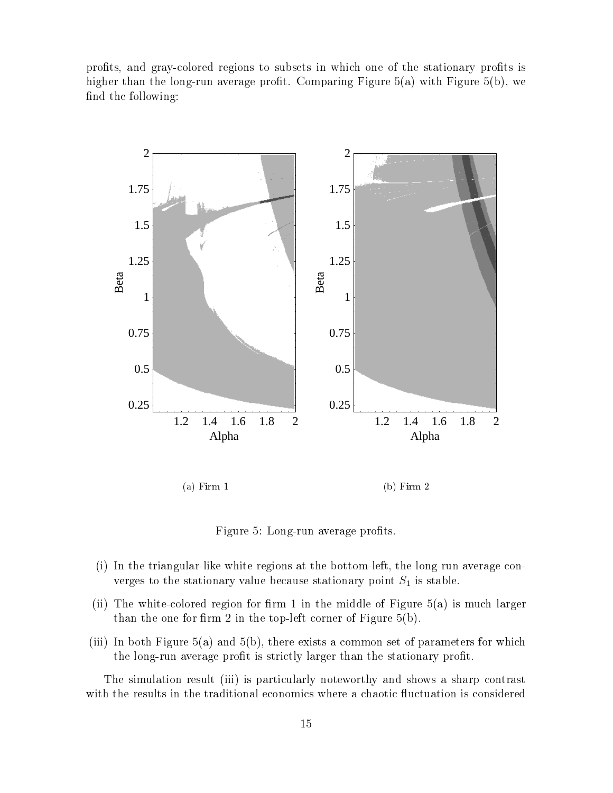profits, and gray-colored regions to subsets in which one of the stationary profits is higher than the long-run average profit. Comparing Figure  $5(a)$  with Figure  $5(b)$ , we find the following:



 $(a)$  Firm 1  $(b)$  Firm  $2$ 

Figure 5: Long-run average profits.

- (i) In the triangular-like white regions at the bottom-left, the long-run average converges to the stationary value because stationary point  $S_1$  is stable.
- (ii) The white-colored region for firm 1 in the middle of Figure  $5(a)$  is much larger than the one for firm 2 in the top-left corner of Figure  $5(b)$ .
- (iii) In both Figure 5(a) and 5(b), there exists a common set of parameters for which the long-run average profit is strictly larger than the stationary profit.

The simulation result (iii) is particularly noteworthy and shows a sharp contrast with the results in the traditional economics where a chaotic fluctuation is considered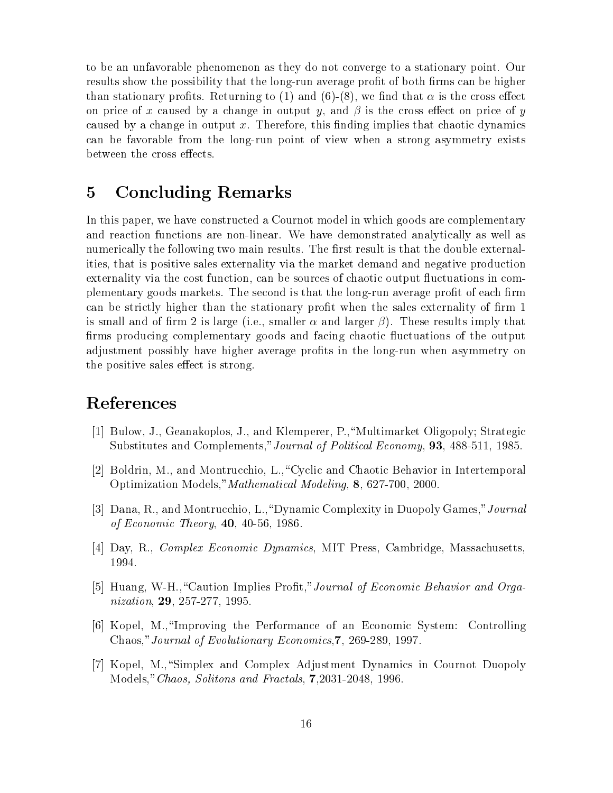to be an unfavorable phenomenon as they do not converge to a stationary point. Our results show the possibility that the long-run average profit of both firms can be higher than stationary profits. Returning to (1) and (6)-(8), we find that  $\alpha$  is the cross effect on price of x caused by a change in output y, and  $\beta$  is the cross effect on price of y caused by a change in output x. Therefore, this finding implies that chaotic dynamics can be favorable from the long-run point of view when a strong asymmetry exists between the cross effects.

## **Concluding Remarks**  $\overline{5}$

In this paper, we have constructed a Cournot model in which goods are complementary and reaction functions are non-linear. We have demonstrated analytically as well as numerically the following two main results. The first result is that the double externalities, that is positive sales externality via the market demand and negative production externality via the cost function, can be sources of chaotic output fluctuations in complementary goods markets. The second is that the long-run average profit of each firm can be strictly higher than the stationary profit when the sales externality of firm 1 is small and of firm 2 is large (i.e., smaller  $\alpha$  and larger  $\beta$ ). These results imply that firms producing complementary goods and facing chaotic fluctuations of the output adjustment possibly have higher average profits in the long-run when asymmetry on the positive sales effect is strong.

# References

- [1] Bulow, J., Geanakoplos, J., and Klemperer, P., "Multimarket Oligopoly; Strategic Substitutes and Complements," Journal of Political Economy, 93, 488-511, 1985.
- [2] Boldrin, M., and Montrucchio, L., "Cyclic and Chaotic Behavior in Intertemporal Optimization Models," Mathematical Modeling, 8, 627-700, 2000.
- [3] Dana, R., and Montrucchio, L., "Dynamic Complexity in Duopoly Games," Journal of Economic Theory,  $40, 40-56, 1986$ .
- [4] Day, R., *Complex Economic Dynamics*, MIT Press, Cambridge, Massachusetts, 1994.
- [5] Huang, W-H., "Caution Implies Profit," Journal of Economic Behavior and Organization, 29, 257-277, 1995.
- [6] Kopel, M., "Improving the Performance of an Economic System: Controlling Chaos," Journal of Evolutionary Economics, 7, 269-289, 1997.
- [7] Kopel, M., "Simplex and Complex Adjustment Dynamics in Cournot Duopoly Models," Chaos, Solitons and Fractals, 7,2031-2048, 1996.